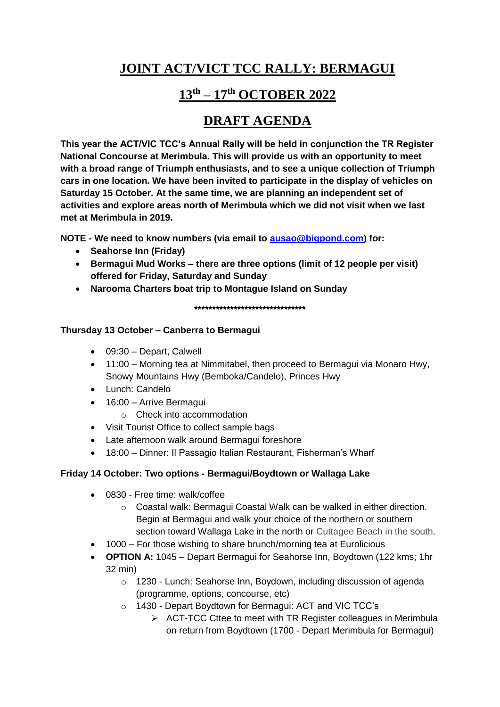# **JOINT ACT/VICT TCC RALLY: BERMAGUI**

## **13th – 17th OCTOBER 2022**

## **DRAFT AGENDA**

**This year the ACT/VIC TCC's Annual Rally will be held in conjunction the TR Register National Concourse at Merimbula. This will provide us with an opportunity to meet with a broad range of Triumph enthusiasts, and to see a unique collection of Triumph cars in one location. We have been invited to participate in the display of vehicles on Saturday 15 October. At the same time, we are planning an independent set of activities and explore areas north of Merimbula which we did not visit when we last met at Merimbula in 2019.**

**NOTE - We need to know numbers (via email to [ausao@bigpond.com\)](mailto:ausao@bigpond.com) for:**

- **Seahorse Inn (Friday)**
- **Bermagui Mud Works – there are three options (limit of 12 people per visit) offered for Friday, Saturday and Sunday**
- **Narooma Charters boat trip to Montague Island on Sunday**

**\*\*\*\*\*\*\*\*\*\*\*\*\*\*\*\*\*\*\*\*\*\*\*\*\*\*\*\*\*\*\***

### **Thursday 13 October – Canberra to Bermagui**

- 09:30 Depart, Calwell
- 11:00 Morning tea at Nimmitabel, then proceed to Bermagui via Monaro Hwy, Snowy Mountains Hwy (Bemboka/Candelo), Princes Hwy
- Lunch: Candelo
- 16:00 Arrive Bermagui
	- o Check into accommodation
- Visit Tourist Office to collect sample bags
- Late afternoon walk around Bermagui foreshore
- 18:00 Dinner: Il Passagio Italian Restaurant, Fisherman's Wharf

### **Friday 14 October: Two options - Bermagui/Boydtown or Wallaga Lake**

- 0830 Free time: walk/coffee
	- o Coastal walk: Bermagui Coastal Walk can be walked in either direction. Begin at Bermagui and walk your choice of the northern or southern section toward Wallaga Lake in the north or Cuttagee Beach in the south.
- 1000 For those wishing to share brunch/morning tea at Eurolicious
- **OPTION A:** 1045 Depart Bermagui for Seahorse Inn, Boydtown (122 kms; 1hr 32 min)
	- o 1230 Lunch: Seahorse Inn, Boydown, including discussion of agenda (programme, options, concourse, etc)
	- o 1430 Depart Boydtown for Bermagui: ACT and VIC TCC's
		- $\triangleright$  ACT-TCC Cttee to meet with TR Register colleagues in Merimbula on return from Boydtown (1700 - Depart Merimbula for Bermagui)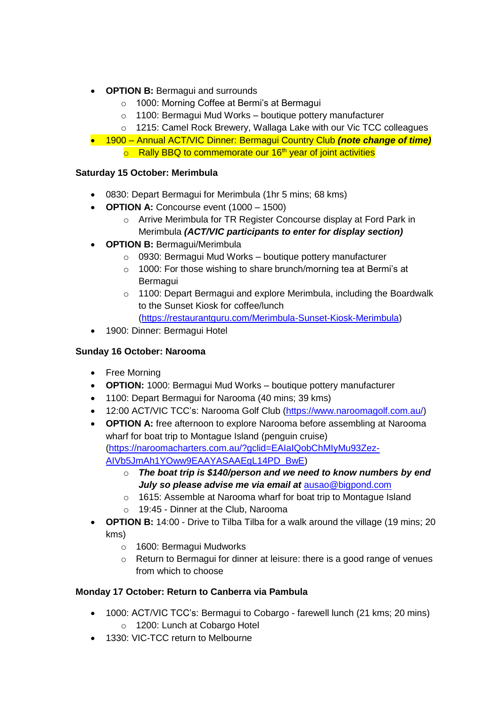- **OPTION B: Bermagui and surrounds** 
	- o 1000: Morning Coffee at Bermi's at Bermagui
	- o 1100: Bermagui Mud Works boutique pottery manufacturer
	- o 1215: Camel Rock Brewery, Wallaga Lake with our Vic TCC colleagues
- 1900 Annual ACT/VIC Dinner: Bermagui Country Club *(note change of time)*  $\circ$  Rally BBQ to commemorate our 16<sup>th</sup> year of joint activities

# **Saturday 15 October: Merimbula**

- 0830: Depart Bermagui for Merimbula (1hr 5 mins; 68 kms)
- **OPTION A:** Concourse event (1000 1500)
	- o Arrive Merimbula for TR Register Concourse display at Ford Park in Merimbula *(ACT/VIC participants to enter for display section)*
- **OPTION B:** Bermagui/Merimbula
	- o 0930: Bermagui Mud Works boutique pottery manufacturer
	- o 1000: For those wishing to share brunch/morning tea at Bermi's at **Bermagui**
	- o 1100: Depart Bermagui and explore Merimbula, including the Boardwalk to the Sunset Kiosk for coffee/lunch [\(https://restaurantguru.com/Merimbula-Sunset-Kiosk-Merimbula\)](https://restaurantguru.com/Merimbula-Sunset-Kiosk-Merimbula)
- 1900: Dinner: Bermagui Hotel

#### **Sunday 16 October: Narooma**

- Free Morning
- **OPTION:** 1000: Bermagui Mud Works boutique pottery manufacturer
- 1100: Depart Bermagui for Narooma (40 mins; 39 kms)
- 12:00 ACT/VIC TCC's: Narooma Golf Club [\(https://www.naroomagolf.com.au/\)](https://www.naroomagolf.com.au/)
- **OPTION A:** free afternoon to explore Narooma before assembling at Narooma wharf for boat trip to Montague Island (penguin cruise) [\(https://naroomacharters.com.au/?gclid=EAIaIQobChMIyMu93Zez-](https://naroomacharters.com.au/?gclid=EAIaIQobChMIyMu93Zez-AIVb5JmAh1YOww9EAAYASAAEgL14PD_BwE)[AIVb5JmAh1YOww9EAAYASAAEgL14PD\\_BwE\)](https://naroomacharters.com.au/?gclid=EAIaIQobChMIyMu93Zez-AIVb5JmAh1YOww9EAAYASAAEgL14PD_BwE)
	- o *The boat trip is \$140/person and we need to know numbers by end July so please advise me via email at* [ausao@bigpond.com](mailto:ausao@bigpond.com)
	- o 1615: Assemble at Narooma wharf for boat trip to Montague Island
	- 19:45 Dinner at the Club, Narooma
- **OPTION B:** 14:00 Drive to Tilba Tilba for a walk around the village (19 mins; 20 kms)
	- o 1600: Bermagui Mudworks
	- $\circ$  Return to Bermagui for dinner at leisure: there is a good range of venues from which to choose

### **Monday 17 October: Return to Canberra via Pambula**

- 1000: ACT/VIC TCC's: Bermagui to Cobargo farewell lunch (21 kms; 20 mins) o 1200: Lunch at Cobargo Hotel
- 1330: VIC-TCC return to Melbourne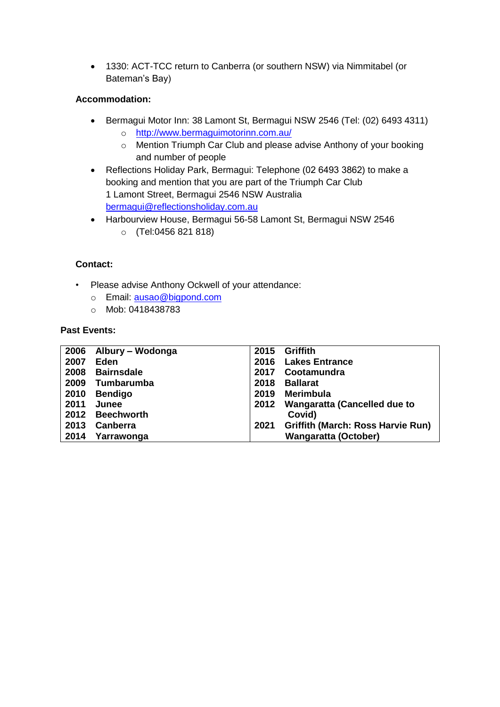1330: ACT-TCC return to Canberra (or southern NSW) via Nimmitabel (or Bateman's Bay)

#### **Accommodation:**

- Bermagui Motor Inn: 38 Lamont St, Bermagui NSW 2546 (Tel: (02) 6493 4311)
	- o <http://www.bermaguimotorinn.com.au/>
	- o Mention Triumph Car Club and please advise Anthony of your booking and number of people
- Reflections Holiday Park, Bermagui: Telephone (02 6493 3862) to make a booking and mention that you are part of the Triumph Car Club 1 Lamont Street, Bermagui 2546 NSW Australia [bermagui@reflectionsholiday.com.au](mailto:bermagui@reflectionsholiday.com.au)
- Harbourview House, Bermagui 56-58 Lamont St, Bermagui NSW 2546 o (Tel:0456 821 818)

#### **Contact:**

- Please advise Anthony Ockwell of your attendance:
	- o Email: ausao@bigpond.com
	- o Mob: 0418438783

#### **Past Events:**

| 2006 | Albury – Wodonga  | 2015 | <b>Griffith</b>                          |
|------|-------------------|------|------------------------------------------|
| 2007 | Eden              | 2016 | <b>Lakes Entrance</b>                    |
| 2008 | <b>Bairnsdale</b> | 2017 | Cootamundra                              |
| 2009 | Tumbarumba        | 2018 | <b>Ballarat</b>                          |
| 2010 | <b>Bendigo</b>    | 2019 | <b>Merimbula</b>                         |
| 2011 | Junee             | 2012 | <b>Wangaratta (Cancelled due to</b>      |
| 2012 | <b>Beechworth</b> |      | Covid)                                   |
| 2013 | Canberra          | 2021 | <b>Griffith (March: Ross Harvie Run)</b> |
| 2014 | Yarrawonga        |      | <b>Wangaratta (October)</b>              |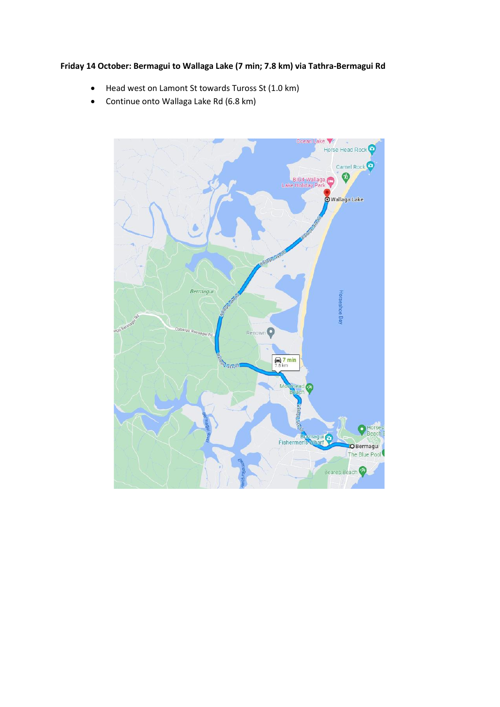#### **Friday 14 October: Bermagui to Wallaga Lake (7 min; 7.8 km) via Tathra-Bermagui Rd**

- Head west on Lamont St towards Tuross St (1.0 km)
- Continue onto Wallaga Lake Rd (6.8 km)

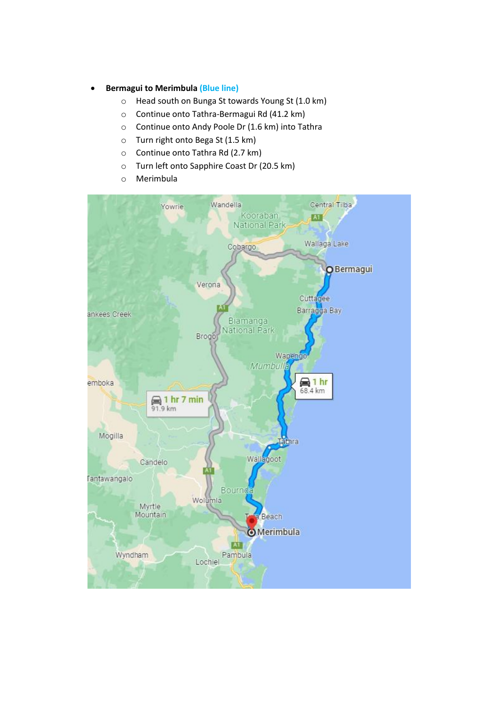- **Bermagui to Merimbula (Blue line)**
	- o Head south on Bunga St towards Young St (1.0 km)
	- o Continue onto Tathra-Bermagui Rd (41.2 km)
	- o Continue onto Andy Poole Dr (1.6 km) into Tathra
	- o Turn right onto Bega St (1.5 km)
	- o Continue onto Tathra Rd (2.7 km)
	- o Turn left onto Sapphire Coast Dr (20.5 km)
	- o Merimbula